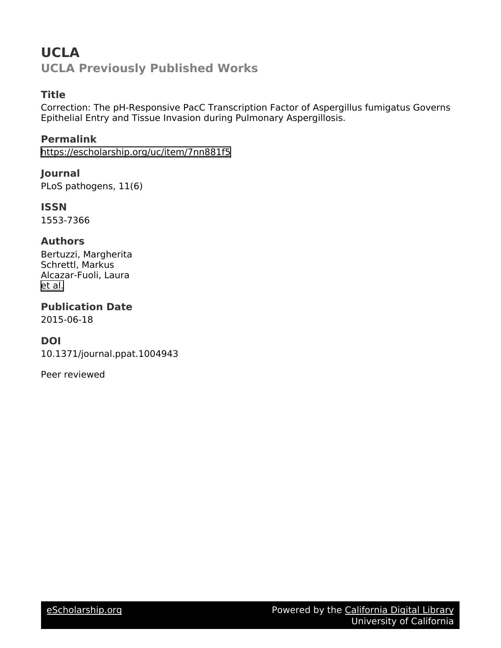## **UCLA UCLA Previously Published Works**

#### **Title**

Correction: The pH-Responsive PacC Transcription Factor of Aspergillus fumigatus Governs Epithelial Entry and Tissue Invasion during Pulmonary Aspergillosis.

**Permalink** <https://escholarship.org/uc/item/7nn881f5>

**Journal** PLoS pathogens, 11(6)

**ISSN** 1553-7366

#### **Authors**

Bertuzzi, Margherita Schrettl, Markus Alcazar-Fuoli, Laura [et al.](https://escholarship.org/uc/item/7nn881f5#author)

**Publication Date** 2015-06-18

#### **DOI**

10.1371/journal.ppat.1004943

Peer reviewed